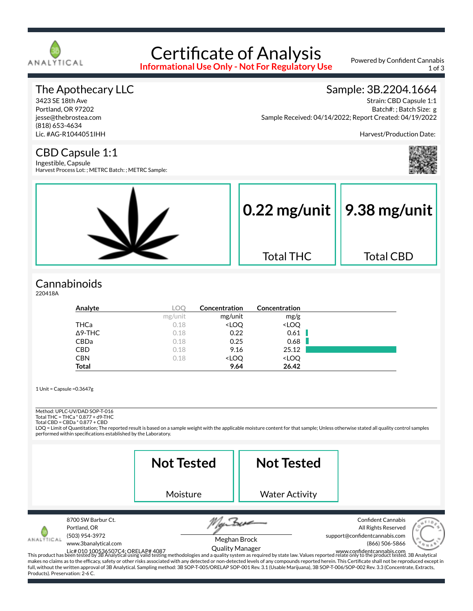

# Certificate of Analysis

**Informational Use Only - Not For Regulatory Use**

Powered by Confident Cannabis 1 of 3

#### The Apothecary LLC

3423 SE 18th Ave Portland, OR 97202 jesse@thebrostea.com (818) 653-4634 Lic. #AG-R1044051IHH

#### Sample: 3B.2204.1664

Strain: CBD Capsule 1:1 Batch#: ; Batch Size: g Sample Received: 04/14/2022; Report Created: 04/19/2022

Harvest/Production Date:

#### CBD Capsule 1:1

Ingestible, Capsule Harvest Process Lot: ; METRC Batch: ; METRC Sample:



#### **Cannabinoids**

220418A

| Analyte        | LOC     | Concentration                                            | Concentration                |  |
|----------------|---------|----------------------------------------------------------|------------------------------|--|
|                | mg/unit | mg/unit                                                  | mg/g                         |  |
| THCa           | 0.18    | <loq< td=""><td><loq< td=""><td></td></loq<></td></loq<> | <loq< td=""><td></td></loq<> |  |
| $\Delta$ 9-THC | 0.18    | 0.22                                                     | 0.61                         |  |
| CBDa           | 0.18    | 0.25                                                     | 0.68                         |  |
| <b>CBD</b>     | 0.18    | 9.16                                                     | 25.12                        |  |
| <b>CBN</b>     | 0.18    | <loq< td=""><td><loq< td=""><td></td></loq<></td></loq<> | <loq< td=""><td></td></loq<> |  |
| <b>Total</b>   |         | 9.64                                                     | 26.42                        |  |

1 Unit = Capsule =0.3647g

Method: UPLC-UV/DAD SOP-T-016

Total THC = THCa \* 0.877 + d9-THC Total CBD = CBDa \* 0.877 + CBD

LOQ = Limit of Quantitation; The reported result is based on a sample weight with the applicable moisture content for that sample; Unless otherwise stated all quality control samples performed within specifications established by the Laboratory.

|                                             |                                                                              | <b>Not Tested</b>                                                                                                                                                                    | <b>Not Tested</b>                      |                                                                                                                                                                                                                                                                                                                                                                                                                                                                                                                                                |
|---------------------------------------------|------------------------------------------------------------------------------|--------------------------------------------------------------------------------------------------------------------------------------------------------------------------------------|----------------------------------------|------------------------------------------------------------------------------------------------------------------------------------------------------------------------------------------------------------------------------------------------------------------------------------------------------------------------------------------------------------------------------------------------------------------------------------------------------------------------------------------------------------------------------------------------|
|                                             |                                                                              | Moisture                                                                                                                                                                             | <b>Water Activity</b>                  |                                                                                                                                                                                                                                                                                                                                                                                                                                                                                                                                                |
| NALTICAL<br>Products). Preservation: 2-6 C. | 8700 SW Barbur Ct.<br>Portland, OR<br>(503) 954-3972<br>www.3banalytical.com | full, without the written approval of 3B Analytical. Sampling method: 3B SOP-T-005/ORELAP SOP-001 Rev. 3.1 (Usable Marijuana), 3B SOP-T-006/SOP-002 Rev. 3.3 (Concentrate, Extracts, | Meghan Brock<br><b>Quality Manager</b> | <b>Confident Cannabis</b><br>All Rights Reserved<br>support@confidentcannabis.com<br>(866) 506-5866<br>Lic# 010 100536507C4; ORELAP# 4087<br>This product has been tested by 3B Analytical using valid testing methodologies and a quality system as required by state law. Values reported relate only to the product tested. 3B Analyt<br>makes no claims as to the efficacy, safety or other risks associated with any detected or non-detected levels of any compounds reported herein. This Certificate shall not be reproduced except in |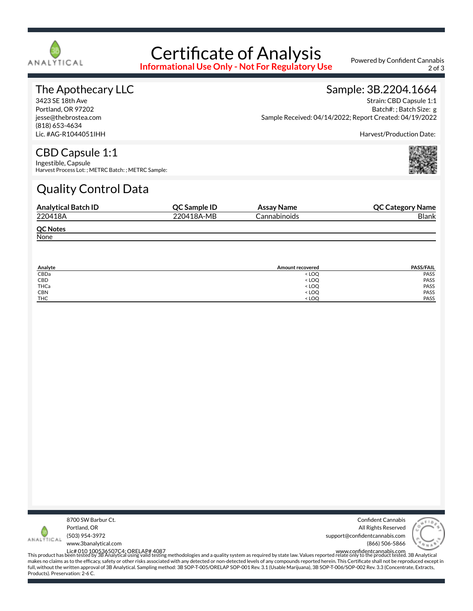

## Certificate of Analysis

**Informational Use Only - Not For Regulatory Use**

Powered by Confident Cannabis 2 of 3

#### The Apothecary LLC

3423 SE 18th Ave Portland, OR 97202 jesse@thebrostea.com (818) 653-4634 Lic. #AG-R1044051IHH

#### Sample: 3B.2204.1664 Strain: CBD Capsule 1:1

Batch#: ; Batch Size: g Sample Received: 04/14/2022; Report Created: 04/19/2022

Harvest/Production Date:

### CBD Capsule 1:1

Ingestible, Capsule Harvest Process Lot: ; METRC Batch: ; METRC Sample:

## Quality Control Data

| <b>Analytical Batch ID</b> | <b>OC Sample ID</b> | Assay Name   | <b>QC Category Name</b> |
|----------------------------|---------------------|--------------|-------------------------|
| 220418A                    | 220418A-MB          | Cannabinoids | <b>Blank</b>            |
| <b>QC Notes</b>            |                     |              |                         |
| None                       |                     |              |                         |

| Analyte    | Amount recovered                 | <b>PASS/FAIL</b> |
|------------|----------------------------------|------------------|
| CBDa       | $<$ LOQ                          | <b>PASS</b>      |
| CBD        | <loq< td=""><td>PASS</td></loq<> | PASS             |
| THCa       | <loq< td=""><td>PASS</td></loq<> | PASS             |
| <b>CBN</b> | < LOQ                            | PASS             |
| <b>THC</b> | < LOO                            | PASS             |



Confident Cannabis All Rights Reserved support@confidentcannabis.com (866) 506-5866



www.3banalytical.com

Lic# 010 100536507C4; ORELAP# 4087<br>This product has been tested by 3B Analytical using valid testing methodologies and a quality system as required by state law. Values reported relate only to the product tested. 3B Analyt makes no claims as to the efficacy, safety or other risks associated with any detected or non-detected levels of any compounds reported herein. This Certificate shall not be reproduced except in full, without the written approval of 3B Analytical. Sampling method: 3B SOP-T-005/ORELAP SOP-001 Rev. 3.1 (Usable Marijuana), 3B SOP-T-006/SOP-002 Rev. 3.3 (Concentrate, Extracts, Products). Preservation: 2-6 C.